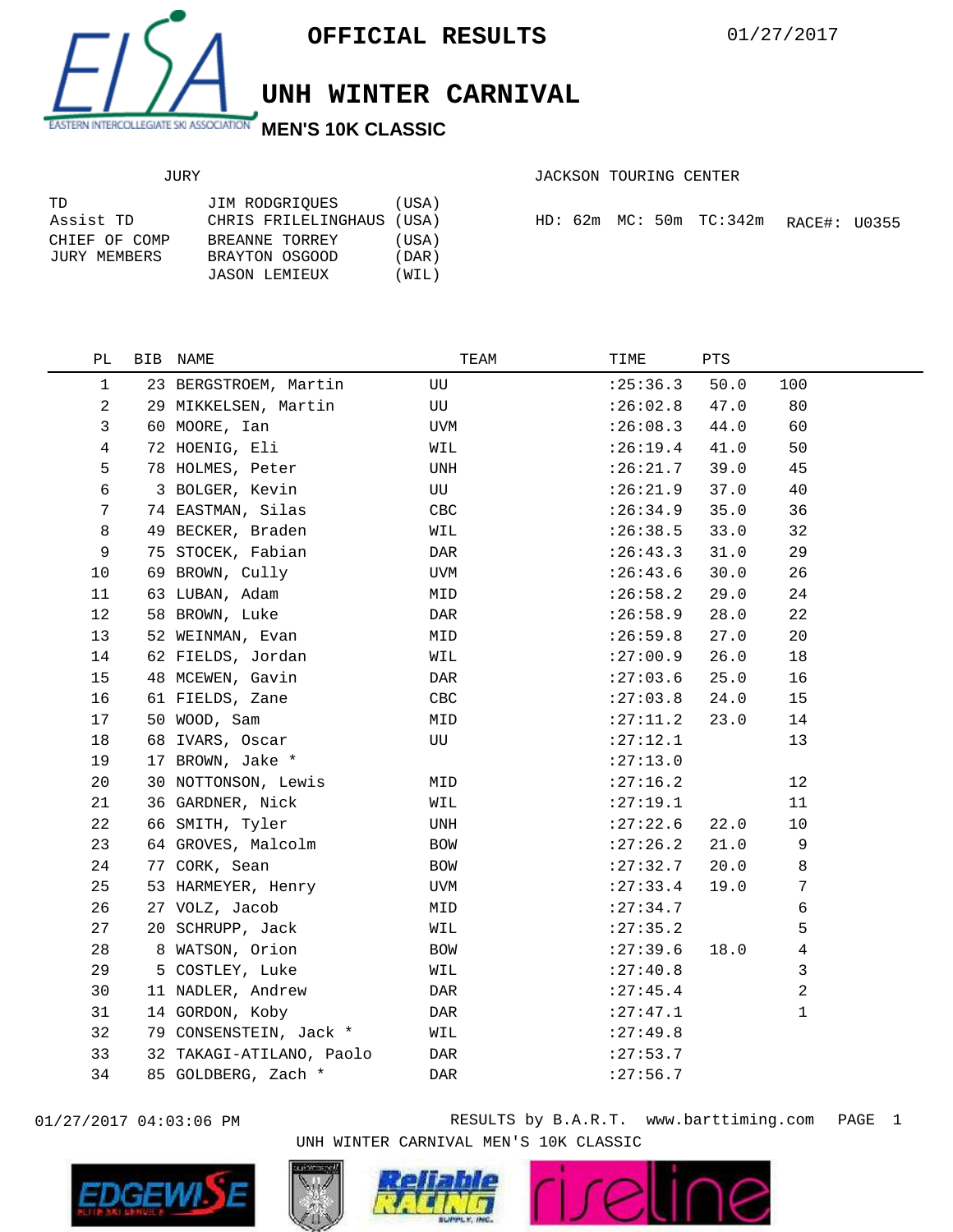

## **UNH WINTER CARNIVAL**

## JURY

|  |  | JACKSON TOURING CENTER |  |
|--|--|------------------------|--|
|--|--|------------------------|--|

| TD            | JIM RODGRIOUES            | (USA)  |  |  |                                |
|---------------|---------------------------|--------|--|--|--------------------------------|
| Assist TD     | CHRIS FRILELINGHAUS (USA) |        |  |  | $HD: 62m$ MC: $50m$ TC: $342m$ |
| CHIEF OF COMP | BREANNE TORREY            | (USA)  |  |  |                                |
| JURY MEMBERS  | BRAYTON OSGOOD            | (DAR ) |  |  |                                |
|               | JASON LEMIEUX             | (WIL)  |  |  |                                |

|  |  |  |  | HD: 62m MC: 50m TC:342m RACE#: U0355 |  |  |
|--|--|--|--|--------------------------------------|--|--|
|--|--|--|--|--------------------------------------|--|--|

| PЬ           | BIB NAME                 | TEAM       | TIME       | PTS  |     |  |
|--------------|--------------------------|------------|------------|------|-----|--|
| $\mathbf{1}$ | 23 BERGSTROEM, Martin    | UU         | :25:36.3   | 50.0 | 100 |  |
| 2            | 29 MIKKELSEN, Martin     | UU         | :26:02.8   | 47.0 | 80  |  |
| 3            | 60 MOORE, Ian            | <b>UVM</b> | :26:08.3   | 44.0 | 60  |  |
| 4            | 72 HOENIG, Eli           | WIL        | :26:19.4   | 41.0 | 50  |  |
| 5            | 78 HOLMES, Peter         | UNH        | :26:21.7   | 39.0 | 45  |  |
| 6            | 3 BOLGER, Kevin          | UU         | :26:21.9   | 37.0 | 40  |  |
| 7            | 74 EASTMAN, Silas        | CBC        | :26:34.9   | 35.0 | 36  |  |
| 8            | 49 BECKER, Braden        | WIL        | :26:38.5   | 33.0 | 32  |  |
| 9            | 75 STOCEK, Fabian        | DAR        | : 26:43.3  | 31.0 | 29  |  |
| 10           | 69 BROWN, Cully          | UVM        | :26:43.6   | 30.0 | 26  |  |
| 11           | 63 LUBAN, Adam           | MID        | :26:58.2   | 29.0 | 24  |  |
| 12           | 58 BROWN, Luke           | DAR        | :26:58.9   | 28.0 | 22  |  |
| 13           | 52 WEINMAN, Evan         | MID        | :26:59.8   | 27.0 | 20  |  |
| 14           | 62 FIELDS, Jordan        | WIL        | :27:00.9   | 26.0 | 18  |  |
| 15           | 48 MCEWEN, Gavin         | DAR        | : 27:03.6  | 25.0 | 16  |  |
| 16           | 61 FIELDS, Zane          | CBC        | :27:03.8   | 24.0 | 15  |  |
| 17           | 50 WOOD, Sam             | MID        | : 27:11.2  | 23.0 | 14  |  |
| 18           | 68 IVARS, Oscar          | UU         | : 27:12.1  |      | 13  |  |
| 19           | 17 BROWN, Jake *         |            | :27:13.0   |      |     |  |
| 20           | 30 NOTTONSON, Lewis      | MID        | : 27:16.2  |      | 12  |  |
| 21           | 36 GARDNER, Nick         | WIL        | : 27:19.1  |      | 11  |  |
| 22           | 66 SMITH, Tyler          | UNH        | : 27:22.6  | 22.0 | 10  |  |
| 23           | 64 GROVES, Malcolm       | BOW        | : 27:26.2  | 21.0 | 9   |  |
| 24           | 77 CORK, Sean            | BOW        | : 27: 32.7 | 20.0 | 8   |  |
| 25           | 53 HARMEYER, Henry       | UVM        | : 27: 33.4 | 19.0 | 7   |  |
| 26           | 27 VOLZ, Jacob           | MID        | : 27:34.7  |      | 6   |  |
| 27           | 20 SCHRUPP, Jack         | WIL        | : 27:35.2  |      | 5   |  |
| 28           | 8 WATSON, Orion          | BOW        | : 27:39.6  | 18.0 | 4   |  |
| 29           | 5 COSTLEY, Luke          | WIL        | : 27:40.8  |      | 3   |  |
| 30           | 11 NADLER, Andrew        | DAR        | : 27: 45.4 |      | 2   |  |
| 31           | 14 GORDON, Koby          | DAR        | : 27: 47.1 |      | 1   |  |
| 32           | 79 CONSENSTEIN, Jack *   | WIL        | : 27:49.8  |      |     |  |
| 33           | 32 TAKAGI-ATILANO, Paolo | DAR        | : 27:53.7  |      |     |  |
| 34           | 85 GOLDBERG, Zach *      | DAR        | : 27:56.7  |      |     |  |
|              |                          |            |            |      |     |  |



01/27/2017 04:03:06 PM RESULTS by B.A.R.T. www.barttiming.com PAGE 1 UNH WINTER CARNIVAL MEN'S 10K CLASSIC

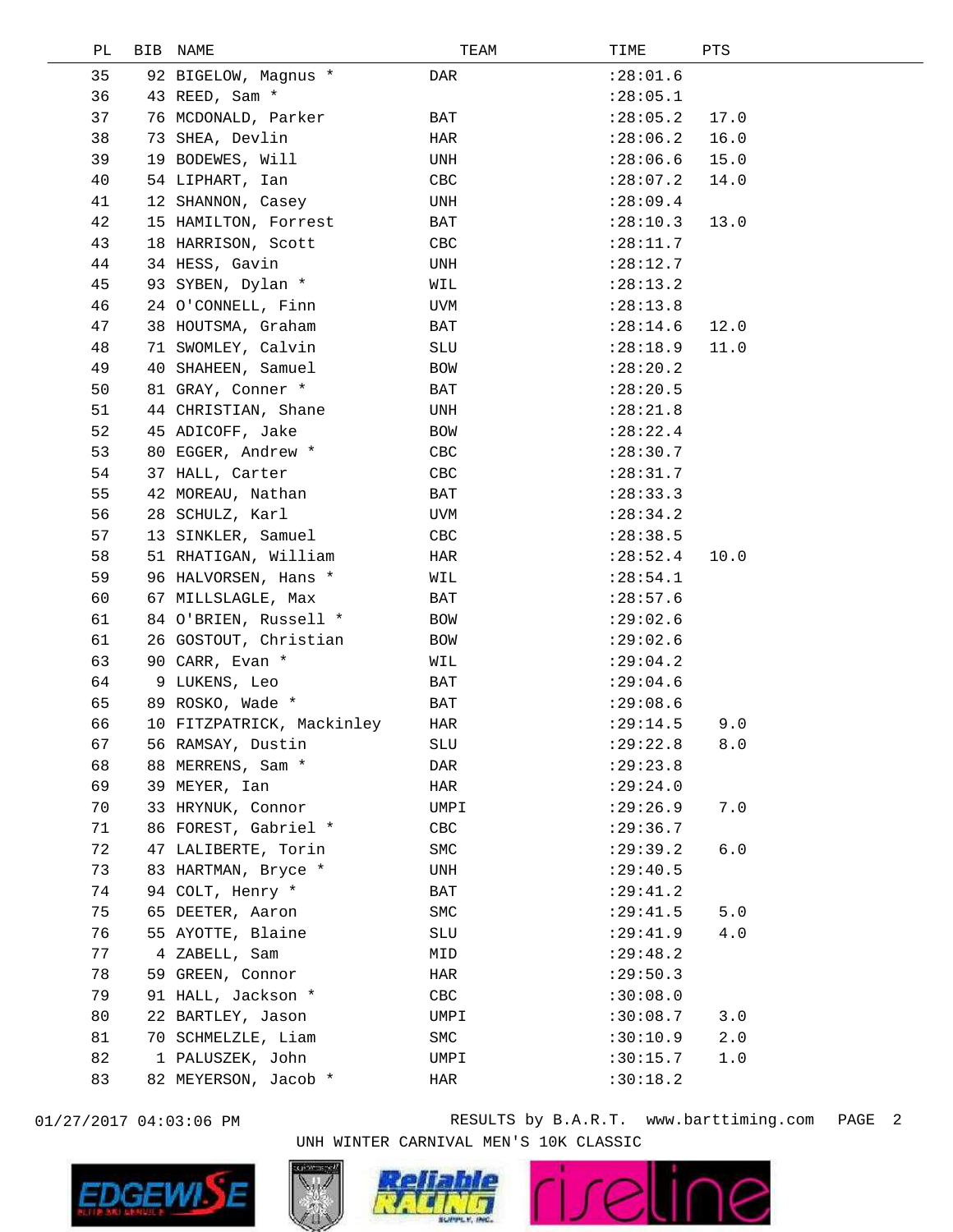| РL | BIB | NAME                      | TEAM       | TIME       | PTS   |
|----|-----|---------------------------|------------|------------|-------|
| 35 |     | 92 BIGELOW, Magnus *      | DAR        | : 28:01.6  |       |
| 36 |     | 43 REED, Sam *            |            | : 28:05.1  |       |
| 37 |     | 76 MCDONALD, Parker       | BAT        | : 28:05.2  | 17.0  |
| 38 |     | 73 SHEA, Devlin           | HAR        | : 28:06.2  | 16.0  |
| 39 |     | 19 BODEWES, Will          | UNH        | : 28:06.6  | 15.0  |
| 40 |     | 54 LIPHART, Ian           | CBC        | : 28:07.2  | 14.0  |
| 41 |     | 12 SHANNON, Casey         | UNH        | : 28:09.4  |       |
| 42 |     | 15 HAMILTON, Forrest      | BAT        | : 28:10.3  | 13.0  |
| 43 |     | 18 HARRISON, Scott        | CBC        | : 28:11.7  |       |
| 44 |     | 34 HESS, Gavin            | UNH        | : 28:12.7  |       |
| 45 |     | 93 SYBEN, Dylan *         | WIL        | : 28:13.2  |       |
| 46 |     | 24 O'CONNELL, Finn        | UVM        | : 28:13.8  |       |
| 47 |     | 38 HOUTSMA, Graham        | BAT        | : 28:14.6  | 12.0  |
| 48 |     | 71 SWOMLEY, Calvin        | SLU        | : 28:18.9  | 11.0  |
| 49 |     | 40 SHAHEEN, Samuel        | <b>BOW</b> | : 28:20.2  |       |
| 50 |     | 81 GRAY, Conner *         | BAT        | : 28:20.5  |       |
| 51 |     | 44 CHRISTIAN, Shane       | UNH        | : 28:21.8  |       |
| 52 |     | 45 ADICOFF, Jake          | BOW        | : 28:22.4  |       |
| 53 |     | 80 EGGER, Andrew *        | CBC        | : 28:30.7  |       |
| 54 |     | 37 HALL, Carter           | CBC        | : 28: 31.7 |       |
| 55 |     | 42 MOREAU, Nathan         | BAT        | : 28:33.3  |       |
| 56 |     | 28 SCHULZ, Karl           | UVM        | : 28:34.2  |       |
| 57 |     | 13 SINKLER, Samuel        | CBC        | : 28:38.5  |       |
| 58 |     | 51 RHATIGAN, William      | HAR        | : 28:52.4  | 10.0  |
| 59 |     | 96 HALVORSEN, Hans *      | WIL        | : 28:54.1  |       |
| 60 |     | 67 MILLSLAGLE, Max        | BAT        | : 28:57.6  |       |
| 61 |     | 84 O'BRIEN, Russell *     | BOW        | : 29:02.6  |       |
| 61 |     | 26 GOSTOUT, Christian     | BOW        | : 29:02.6  |       |
| 63 |     | 90 CARR, Evan *           | WIL        | : 29:04.2  |       |
| 64 |     | 9 LUKENS, Leo             | BAT        | : 29:04.6  |       |
| 65 |     | 89 ROSKO, Wade *          | BAT        | : 29:08.6  |       |
| 66 |     | 10 FITZPATRICK, Mackinley | HAR        | : 29:14.5  | 9.0   |
| 67 |     | 56 RAMSAY, Dustin         | <b>SLU</b> | : 29:22.8  | $8.0$ |
| 68 |     | 88 MERRENS, Sam *         | DAR        | : 29:23.8  |       |
| 69 |     | 39 MEYER, Ian             | HAR        | : 29:24.0  |       |
| 70 |     | 33 HRYNUK, Connor         | UMPI       | : 29:26.9  | 7.0   |
| 71 |     | 86 FOREST, Gabriel *      | CBC        | : 29:36.7  |       |
| 72 |     | 47 LALIBERTE, Torin       | SMC        | : 29:39.2  | 6.0   |
| 73 |     | 83 HARTMAN, Bryce *       | UNH        | : 29: 40.5 |       |
| 74 |     | 94 COLT, Henry *          | BAT        | : 29: 41.2 |       |
| 75 |     | 65 DEETER, Aaron          | SMC        | : 29: 41.5 | 5.0   |
| 76 |     | 55 AYOTTE, Blaine         | SLU        | : 29: 41.9 | 4.0   |
| 77 |     | 4 ZABELL, Sam             | MID        | : 29: 48.2 |       |
| 78 |     | 59 GREEN, Connor          | HAR        | : 29:50.3  |       |
| 79 |     | 91 HALL, Jackson *        | CBC        | :30:08.0   |       |
| 80 |     | 22 BARTLEY, Jason         | UMPI       | :30:08.7   | 3.0   |
| 81 |     | 70 SCHMELZLE, Liam        | SMC        | :30:10.9   | 2.0   |
| 82 |     | 1 PALUSZEK, John          | UMPI       | :30:15.7   | 1.0   |
| 83 |     | 82 MEYERSON, Jacob *      | HAR        | :30:18.2   |       |
|    |     |                           |            |            |       |



01/27/2017 04:03:06 PM RESULTS by B.A.R.T. www.barttiming.com PAGE 2 UNH WINTER CARNIVAL MEN'S 10K CLASSIC